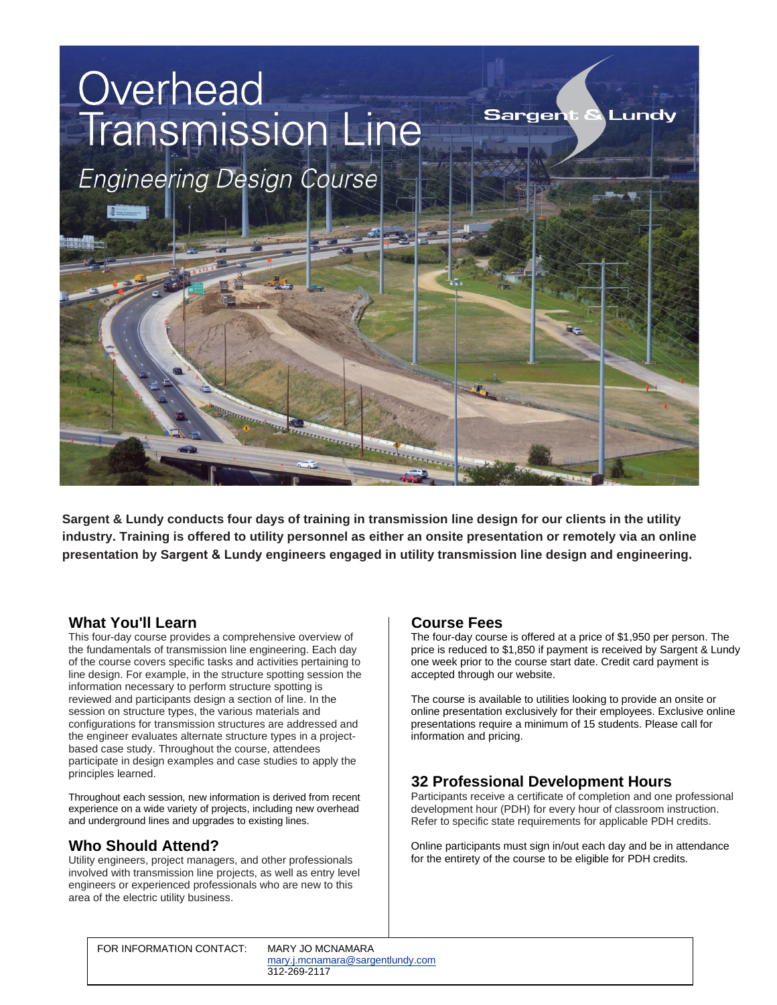

**Sargent & Lundy conducts four days of training in transmission line design for our clients in the utility industry. Training is offered to utility personnel as either an onsite presentation or remotely via an online presentation by Sargent & Lundy engineers engaged in utility transmission line design and engineering.** 

## **What You'll Learn**

This four-day course provides a comprehensive overview of the fundamentals of transmission line engineering. Each day of the course covers specific tasks and activities pertaining to line design. For example, in the structure spotting session the information necessary to perform structure spotting is reviewed and participants design a section of line. In the session on structure types, the various materials and configurations for transmission structures are addressed and the engineer evaluates alternate structure types in a projectbased case study. Throughout the course, attendees participate in design examples and case studies to apply the principles learned.

Throughout each session, new information is derived from recent experience on a wide variety of projects, including new overhead and underground lines and upgrades to existing lines.

# **Who Should Attend?**

Utility engineers, project managers, and other professionals involved with transmission line projects, as well as entry level engineers or experienced professionals who are new to this area of the electric utility business.

## **Course Fees**

The four-day course is offered at a price of \$1,950 per person. The price is reduced to \$1,850 if payment is received by Sargent & Lundy one week prior to the course start date. Credit card payment is accepted through our website.

The course is available to utilities looking to provide an onsite or online presentation exclusively for their employees. Exclusive online presentations require a minimum of 15 students. Please call for information and pricing.

# **32 Professional Development Hours**

Participants receive a certificate of completion and one professional development hour (PDH) for every hour of classroom instruction. Refer to specific state requirements for applicable PDH credits.

Online participants must sign in/out each day and be in attendance for the entirety of the course to be eligible for PDH credits.

FOR INFORMATION CONTACT: MARY JO MCNAMARA

[m](mailto:mary.j.mcnamara@sargentlundy.com)[ary.j.mcnamara@sargentlundy.co](mailto:bettie.j.kidd@sargentlundy.com)[m](mailto:mary.j.mcnamara@sargentlundy.com) 312-269-2117